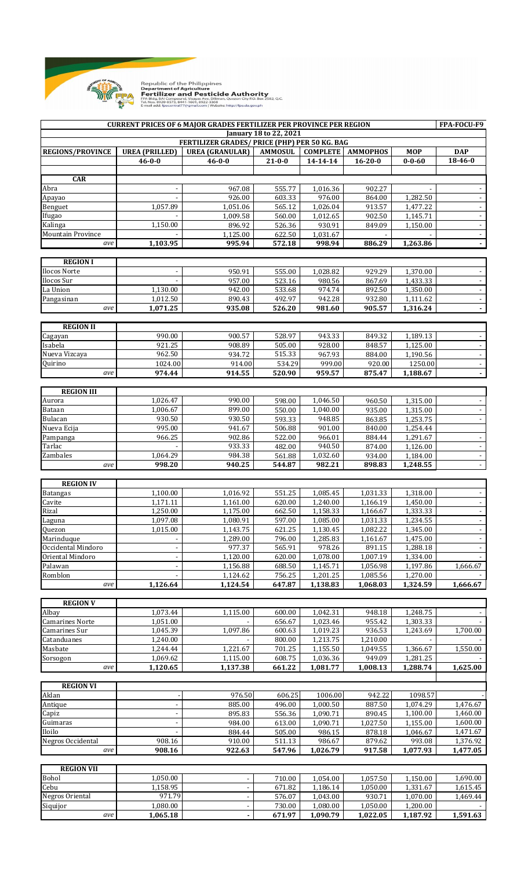

Republic of the Philippines<br>Department of Agriculture Department of Agriculture<br>FRA Bidg. BAI Compound, Visayas Ave. Diliman, Quezon City P.O. Box 2582, Q.C.<br>FRA Bidg. BAI Compound, Visayas Ave. Diliman, Quezon City P.O. Box 2582, Q.C.<br>Tel. Nos. 8920-8573, 8441-1601, 8922-336

**FPA-FOCU-F9 REGIONS/PROVINCE UREA (PRILLED) UREA (GRANULAR) AMMOSUL COMPLETE AMMOPHOS MOP DAP 46-0-0 46-0-0 21-0-0 14-14-14 16-20-0 0-0-60 18-46-0 CAR** Abra - 967.08 555.77 1,016.36 902.27 - - Apayao - 926.00 603.33 976.00 864.00 1,282.50 - Benguet 1,057.89 1,051.06 565.12 1,026.04 913.57 1,477.22 - Ifugao - 1,009.58 560.00 1,012.65 902.50 1,145.71 - Kalinga 1,150.00 896.92 526.36 930.91 849.09 1,150.00 - Mountain Province **1,125.00** 1,031.67 *ave* **1,103.95 995.94 572.18 998.94 886.29 1,263.86 - REGION I**  - المالي الثاني الثاني (1,028.82 1bcos Norte ) و 950.91 . و 950.91 إلى السلطان التابعي التابعي التي يتم التابع - ا 957.00 523.16 980.56 867.69 1,433.33 - 957.00 ا - 957.00 - 957.00 ا La Union 1,130.00 942.00 533.68 974.74 892.50 1,350.00 - Pangasinan | 1,012.50 890.43 492.97 942.28 932.80 1,111.62 *ave* **1,071.25 935.08 526.20 981.60 905.57 1,316.24 - REGION II** Cagayan 990.00 900.57 528.97 943.33 849.32 1,189.13 - Isabela 921.25 908.89 505.00 928.00 848.57 1,125.00 - Nueva Vizcaya 962.50 934.72 515.33 967.93 884.00 1,190.56 - Quirino 1024.00 914.00 534.29 999.00 920.00 1250.00 *ave* **974.44 914.55 520.90 959.57 875.47 1,188.67 - REGION III** Aurora 1,026.47 990.00 598.00 1,046.50 960.50 1,315.00 - Bataan 1,006.67 899.00 550.00 1,040.00 935.00 1,315.00 - Bulacan 930.50 930.50 593.33 948.85 863.85 1,253.75 - Nueva Ecija 995.00 941.67 506.88 901.00 840.00 1,254.44 Pampanga 966.25 902.86 522.00 966.01 884.44 1,291.67 - - 1,126.00 | 1,126.00 | 1,126.00 | 933.33 | 982.00 | 940.50 | 874.00 | 1,126.00 | Zambales 1,064.29 984.38 561.88 1,032.60 934.00 1,184.00 *ave* **998.20 940.25 544.87 982.21 898.83 1,248.55** - **REGION IV** Batangas 1,100.00 1,016.92 551.25 1,085.45 1,031.33 1,318.00 - Cavite 1,171.11 1,161.00 620.00 1,240.00 1,166.19 1,450.00 - Rizal 1,250.00 1,175.00 662.50 1,158.33 1,166.67 1,333.33 - Laguna 1,097.08 1,080.91 597.00 1,085.00 1,031.33 1,234.55 - Quezon 1,015.00 1,143.75 621.25 1,130.45 1,082.22 1,345.00 Marinduque - 1,289.00 796.00 1,285.83 1,161.67 1,475.00 - Occidental Mindoro | Participation | Participation | 977.37 | 978.26 891.15 | 1,288.18 Oriental Mindoro - 1,120.00 620.00 1,078.00 1,007.19 1,334.00 - Palawan - 1,156.88 688.50 1,145.71 1,056.98 1,197.86 1,666.67 Romblon - 1,124.62 756.25 1,201.25 1,085.56 1,270.00 *ave* **1,126.64 1,124.54 647.87 1,138.83 1,068.03 1,324.59 1,666.67 REGION V** Albay 1,073.44 1,115.00 600.00 1,042.31 948.18 1,248.75 - Camarines Norte 1,051.00 - 656.67 1,023.46 955.42 1,303.33 - Camarines Sur 1,045.39 1,097.86 600.63 1,019.23 936.53 1,243.69 1,700.00 Catanduanes 1,240.00 - 800.00 1,213.75 1,210.00 - -Masbate 1,244.44 1,221.67 701.25 1,155.50 1,049.55 1,366.67 1,550.00 Sorsogon 1,069.62 1,115.00 608.75 1,036.36 949.09 1,281.25 *ave* **1,120.65 1,137.38 661.22 1,081.77 1,008.13 1,288.74 1,625.00 REGION VI** Aklan - 976.50 606.25 1006.00 942.22 1098.57 - Antique - 885.00 496.00 1,000.50 887.50 1,074.29 1,476.67 Capiz - 895.83 556.36 1,090.71 890.45 1,100.00 1,460.00 Guimaras - 984.00 613.00 1,090.71 1,027.50 1,155.00 1,600.00 Iloilo - 884.44 505.00 986.15 878.18 1,046.67 1,471.67 Negros Occidental 1 908.16 910.00 511.13 986.67 879.62 993.08 1,376.92 *ave* **908.16 922.63 547.96 1,026.79 917.58 1,077.93 1,477.05 REGION VII** Bohol 1,050.00 - 710.00 1,054.00 1,057.50 1,150.00 1,690.00 Cebu 1,158.95 - 671.82 1,186.14 1,050.00 1,331.67 1,615.45 Negros Oriental 1.080.00 971.79 - 576.07 1,043.00 930.71 1,070.00 1,469.44 Siquijor 1,080.00 - 730.00 1,080.00 1,050.00 1,200.00 *ave* **1,065.18 - 671.97 1,090.79 1,022.05 1,187.92 1,591.63 CURRENT PRICES OF 6 MAJOR GRADES FERTILIZER PER PROVINCE PER REGION January 18 to 22, 2021 FERTILIZER GRADES/ PRICE (PHP) PER 50 KG. BAG**